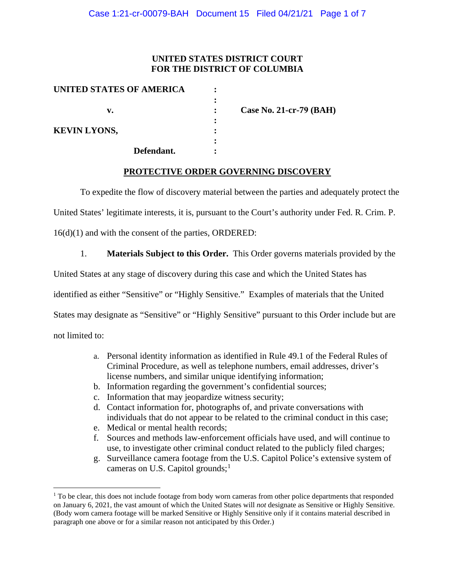# **UNITED STATES DISTRICT COURT FOR THE DISTRICT OF COLUMBIA**

| UNITED STATES OF AMERICA |                           |
|--------------------------|---------------------------|
|                          |                           |
| v.                       | Case No. 21-cr-79 $(BAH)$ |
|                          |                           |
| <b>KEVIN LYONS,</b>      |                           |
|                          |                           |
| Defendant.               |                           |

## **PROTECTIVE ORDER GOVERNING DISCOVERY**

To expedite the flow of discovery material between the parties and adequately protect the

United States' legitimate interests, it is, pursuant to the Court's authority under Fed. R. Crim. P.

16(d)(1) and with the consent of the parties, ORDERED:

1. **Materials Subject to this Order.** This Order governs materials provided by the

United States at any stage of discovery during this case and which the United States has

identified as either "Sensitive" or "Highly Sensitive." Examples of materials that the United

States may designate as "Sensitive" or "Highly Sensitive" pursuant to this Order include but are

not limited to:

- a. Personal identity information as identified in Rule 49.1 of the Federal Rules of Criminal Procedure, as well as telephone numbers, email addresses, driver's license numbers, and similar unique identifying information;
- b. Information regarding the government's confidential sources;
- c. Information that may jeopardize witness security;
- d. Contact information for, photographs of, and private conversations with individuals that do not appear to be related to the criminal conduct in this case;
- e. Medical or mental health records;
- f. Sources and methods law-enforcement officials have used, and will continue to use, to investigate other criminal conduct related to the publicly filed charges;
- g. Surveillance camera footage from the U.S. Capitol Police's extensive system of cameras on U.S. Capitol grounds; $<sup>1</sup>$ </sup>

 $1$  To be clear, this does not include footage from body worn cameras from other police departments that responded on January 6, 2021, the vast amount of which the United States will *not* designate as Sensitive or Highly Sensitive. (Body worn camera footage will be marked Sensitive or Highly Sensitive only if it contains material described in paragraph one above or for a similar reason not anticipated by this Order.)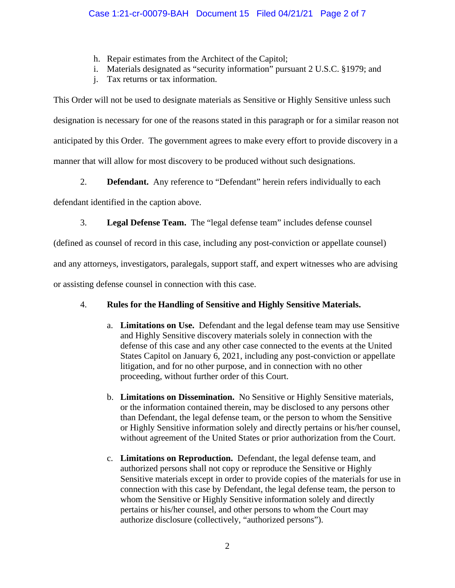- h. Repair estimates from the Architect of the Capitol;
- i. Materials designated as "security information" pursuant 2 U.S.C. §1979; and
- j. Tax returns or tax information.

This Order will not be used to designate materials as Sensitive or Highly Sensitive unless such designation is necessary for one of the reasons stated in this paragraph or for a similar reason not anticipated by this Order. The government agrees to make every effort to provide discovery in a manner that will allow for most discovery to be produced without such designations.

2. **Defendant.** Any reference to "Defendant" herein refers individually to each

defendant identified in the caption above.

3. **Legal Defense Team.** The "legal defense team" includes defense counsel

(defined as counsel of record in this case, including any post-conviction or appellate counsel)

and any attorneys, investigators, paralegals, support staff, and expert witnesses who are advising

or assisting defense counsel in connection with this case.

# 4. **Rules for the Handling of Sensitive and Highly Sensitive Materials.**

- a. **Limitations on Use.** Defendant and the legal defense team may use Sensitive and Highly Sensitive discovery materials solely in connection with the defense of this case and any other case connected to the events at the United States Capitol on January 6, 2021, including any post-conviction or appellate litigation, and for no other purpose, and in connection with no other proceeding, without further order of this Court.
- b. **Limitations on Dissemination.** No Sensitive or Highly Sensitive materials, or the information contained therein, may be disclosed to any persons other than Defendant, the legal defense team, or the person to whom the Sensitive or Highly Sensitive information solely and directly pertains or his/her counsel, without agreement of the United States or prior authorization from the Court.
- c. **Limitations on Reproduction.** Defendant, the legal defense team, and authorized persons shall not copy or reproduce the Sensitive or Highly Sensitive materials except in order to provide copies of the materials for use in connection with this case by Defendant, the legal defense team, the person to whom the Sensitive or Highly Sensitive information solely and directly pertains or his/her counsel, and other persons to whom the Court may authorize disclosure (collectively, "authorized persons").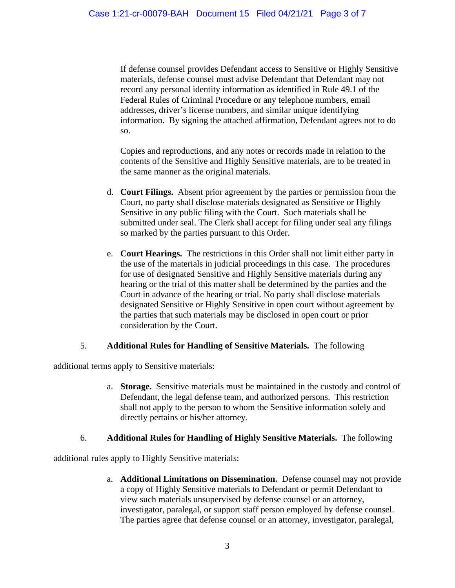If defense counsel provides Defendant access to Sensitive or Highly Sensitive materials, defense counsel must advise Defendant that Defendant may not record any personal identity information as identified in Rule 49.1 of the Federal Rules of Criminal Procedure or any telephone numbers, email addresses, driver's license numbers, and similar unique identifying information. By signing the attached affirmation, Defendant agrees not to do so.

Copies and reproductions, and any notes or records made in relation to the contents of the Sensitive and Highly Sensitive materials, are to be treated in the same manner as the original materials.

- d. **Court Filings.** Absent prior agreement by the parties or permission from the Court, no party shall disclose materials designated as Sensitive or Highly Sensitive in any public filing with the Court. Such materials shall be submitted under seal. The Clerk shall accept for filing under seal any filings so marked by the parties pursuant to this Order.
- e. **Court Hearings.** The restrictions in this Order shall not limit either party in the use of the materials in judicial proceedings in this case. The procedures for use of designated Sensitive and Highly Sensitive materials during any hearing or the trial of this matter shall be determined by the parties and the Court in advance of the hearing or trial. No party shall disclose materials designated Sensitive or Highly Sensitive in open court without agreement by the parties that such materials may be disclosed in open court or prior consideration by the Court.

## 5. **Additional Rules for Handling of Sensitive Materials.** The following

additional terms apply to Sensitive materials:

a. **Storage.** Sensitive materials must be maintained in the custody and control of Defendant, the legal defense team, and authorized persons. This restriction shall not apply to the person to whom the Sensitive information solely and directly pertains or his/her attorney.

## 6. **Additional Rules for Handling of Highly Sensitive Materials.** The following

additional rules apply to Highly Sensitive materials:

a. **Additional Limitations on Dissemination.** Defense counsel may not provide a copy of Highly Sensitive materials to Defendant or permit Defendant to view such materials unsupervised by defense counsel or an attorney, investigator, paralegal, or support staff person employed by defense counsel. The parties agree that defense counsel or an attorney, investigator, paralegal,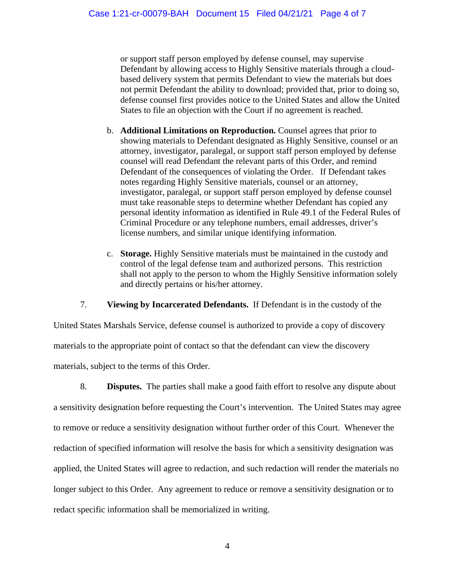or support staff person employed by defense counsel, may supervise Defendant by allowing access to Highly Sensitive materials through a cloudbased delivery system that permits Defendant to view the materials but does not permit Defendant the ability to download; provided that, prior to doing so, defense counsel first provides notice to the United States and allow the United States to file an objection with the Court if no agreement is reached.

- b. **Additional Limitations on Reproduction.** Counsel agrees that prior to showing materials to Defendant designated as Highly Sensitive, counsel or an attorney, investigator, paralegal, or support staff person employed by defense counsel will read Defendant the relevant parts of this Order, and remind Defendant of the consequences of violating the Order. If Defendant takes notes regarding Highly Sensitive materials, counsel or an attorney, investigator, paralegal, or support staff person employed by defense counsel must take reasonable steps to determine whether Defendant has copied any personal identity information as identified in Rule 49.1 of the Federal Rules of Criminal Procedure or any telephone numbers, email addresses, driver's license numbers, and similar unique identifying information.
- c. **Storage.** Highly Sensitive materials must be maintained in the custody and control of the legal defense team and authorized persons. This restriction shall not apply to the person to whom the Highly Sensitive information solely and directly pertains or his/her attorney.

7. **Viewing by Incarcerated Defendants.** If Defendant is in the custody of the

United States Marshals Service, defense counsel is authorized to provide a copy of discovery materials to the appropriate point of contact so that the defendant can view the discovery materials, subject to the terms of this Order.

8. **Disputes.** The parties shall make a good faith effort to resolve any dispute about a sensitivity designation before requesting the Court's intervention. The United States may agree to remove or reduce a sensitivity designation without further order of this Court. Whenever the redaction of specified information will resolve the basis for which a sensitivity designation was applied, the United States will agree to redaction, and such redaction will render the materials no longer subject to this Order. Any agreement to reduce or remove a sensitivity designation or to redact specific information shall be memorialized in writing.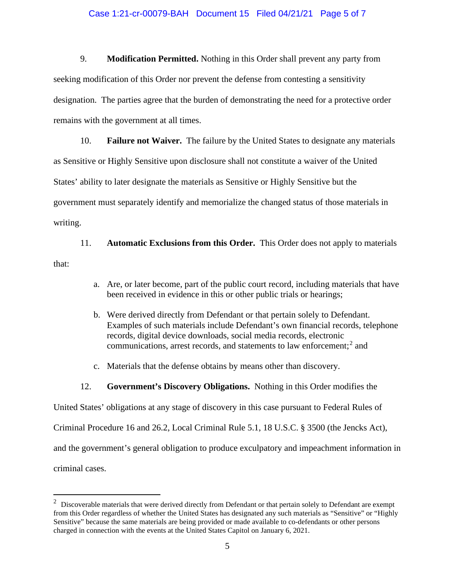#### Case 1:21-cr-00079-BAH Document 15 Filed 04/21/21 Page 5 of 7

9. **Modification Permitted.** Nothing in this Order shall prevent any party from seeking modification of this Order nor prevent the defense from contesting a sensitivity designation. The parties agree that the burden of demonstrating the need for a protective order remains with the government at all times.

10. **Failure not Waiver.** The failure by the United States to designate any materials as Sensitive or Highly Sensitive upon disclosure shall not constitute a waiver of the United States' ability to later designate the materials as Sensitive or Highly Sensitive but the government must separately identify and memorialize the changed status of those materials in writing.

11. **Automatic Exclusions from this Order.** This Order does not apply to materials that:

- a. Are, or later become, part of the public court record, including materials that have been received in evidence in this or other public trials or hearings;
- b. Were derived directly from Defendant or that pertain solely to Defendant. Examples of such materials include Defendant's own financial records, telephone records, digital device downloads, social media records, electronic communications, arrest records, and statements to law enforcement; $<sup>2</sup>$  and</sup>
- c. Materials that the defense obtains by means other than discovery.
- 12. **Government's Discovery Obligations.** Nothing in this Order modifies the

United States' obligations at any stage of discovery in this case pursuant to Federal Rules of

Criminal Procedure 16 and 26.2, Local Criminal Rule 5.1, 18 U.S.C. § 3500 (the Jencks Act),

and the government's general obligation to produce exculpatory and impeachment information in

criminal cases.

 $2$  Discoverable materials that were derived directly from Defendant or that pertain solely to Defendant are exempt from this Order regardless of whether the United States has designated any such materials as "Sensitive" or "Highly Sensitive" because the same materials are being provided or made available to co-defendants or other persons charged in connection with the events at the United States Capitol on January 6, 2021.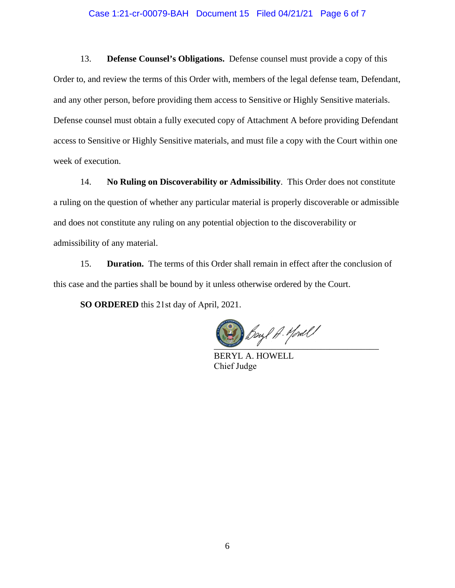#### Case 1:21-cr-00079-BAH Document 15 Filed 04/21/21 Page 6 of 7

13. **Defense Counsel's Obligations.** Defense counsel must provide a copy of this Order to, and review the terms of this Order with, members of the legal defense team, Defendant, and any other person, before providing them access to Sensitive or Highly Sensitive materials. Defense counsel must obtain a fully executed copy of Attachment A before providing Defendant access to Sensitive or Highly Sensitive materials, and must file a copy with the Court within one week of execution.

14. **No Ruling on Discoverability or Admissibility**. This Order does not constitute a ruling on the question of whether any particular material is properly discoverable or admissible and does not constitute any ruling on any potential objection to the discoverability or admissibility of any material.

15. **Duration.** The terms of this Order shall remain in effect after the conclusion of this case and the parties shall be bound by it unless otherwise ordered by the Court.

**SO ORDERED** this 21st day of April, 2021.

 $\frac{1}{\sqrt{2\pi}}$ 

BERYL A. HOWELL Chief Judge